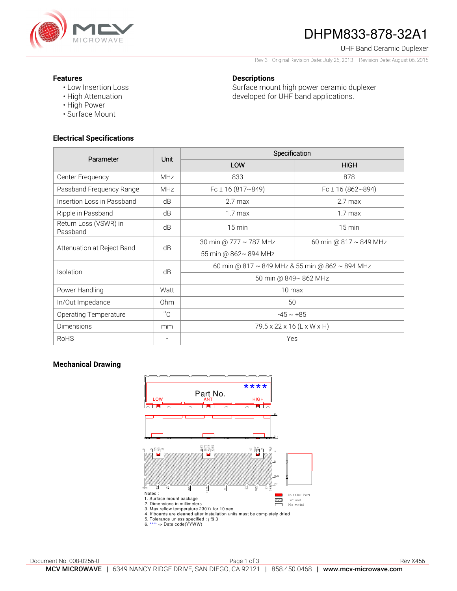

# DHPM833-878-32A1

#### UHF Band Ceramic Duplexer

Rev 3– Original Revision Date: July 26, 2013 – Revision Date: August 06, 2015

### **Features**

• Low Insertion Loss • High Attenuation

## **Descriptions**

Surface mount high power ceramic duplexer developed for UHF band applications.

# **Electrical Specifications**

• High Power • Surface Mount

| Parameter                         | Unit                     | Specification                                   |                             |
|-----------------------------------|--------------------------|-------------------------------------------------|-----------------------------|
|                                   |                          | LOW                                             | <b>HIGH</b>                 |
| Center Frequency                  | <b>MHz</b>               | 833                                             | 878                         |
| Passband Frequency Range          | <b>MHz</b>               | Fc $\pm$ 16 (817~849)                           | Fc $\pm$ 16 (862~894)       |
| Insertion Loss in Passband        | dB                       | $2.7$ max                                       | $2.7$ max                   |
| Ripple in Passband                | dB                       | $1.7 \text{ max}$                               | 1.7 <sub>max</sub>          |
| Return Loss (VSWR) in<br>Passband | dB                       | $15 \text{ min}$                                | $15 \text{ min}$            |
| Attenuation at Reject Band        | dB                       | 30 min @ 777 ~ 787 MHz                          | 60 min @ $817 \sim 849$ MHz |
|                                   |                          | 55 min @ 862~894 MHz                            |                             |
| Isolation                         | dB                       | 60 min @ 817 ~ 849 MHz & 55 min @ 862 ~ 894 MHz |                             |
|                                   |                          | 50 min @ 849~ 862 MHz                           |                             |
| Power Handling                    | Watt                     | $10 \text{ max}$                                |                             |
| In/Out Impedance                  | 0 <sub>hm</sub>          | 50                                              |                             |
| <b>Operating Temperature</b>      | $^{\circ}$ C             | $-45 \sim +85$                                  |                             |
| <b>Dimensions</b>                 | mm                       | 79.5 x 22 x 16 (L x W x H)                      |                             |
| <b>RoHS</b>                       | $\overline{\phantom{a}}$ | Yes                                             |                             |

### **Mechanical Drawing**

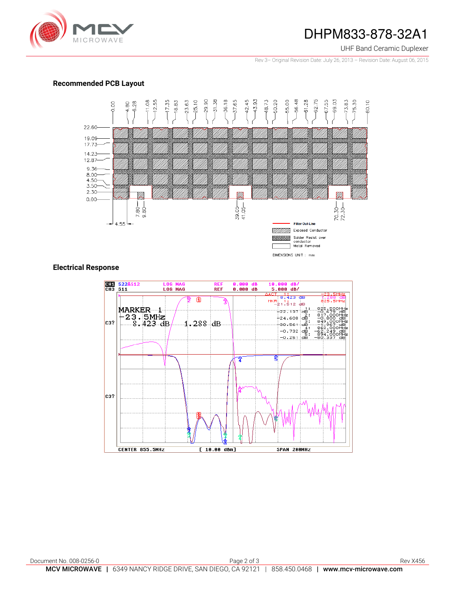

# DHPM833-878-32A1

#### UHF Band Ceramic Duplexer

Rev 3– Original Revision Date: July 26, 2013 – Revision Date: August 06, 2015

### **Recommended PCB Layout**



### **Electrical Response**